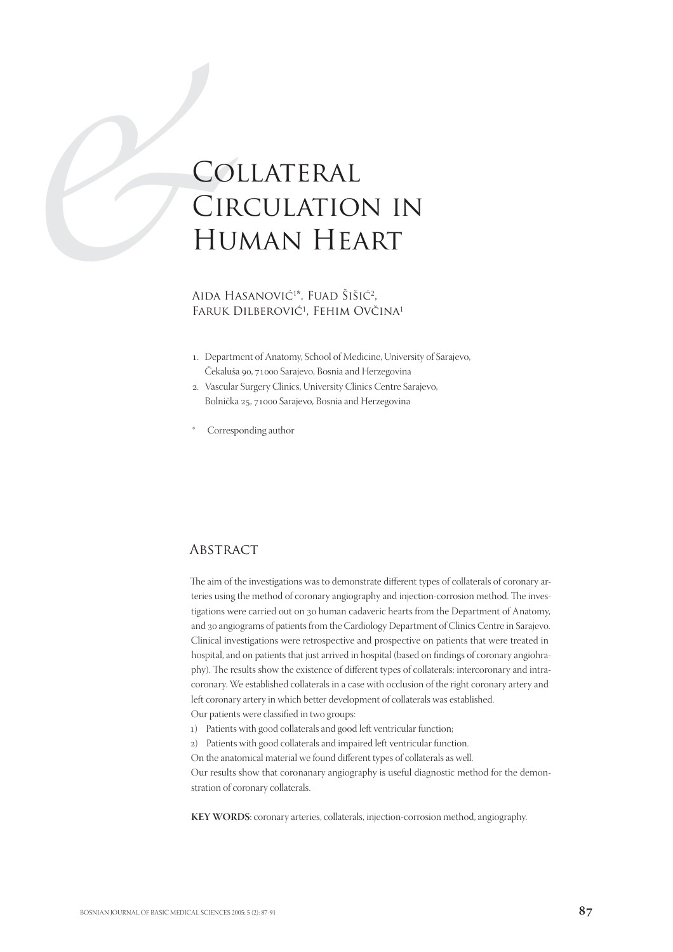# **CO**<br>CIR<br>HU<br>AIDA HJ<br>FARUK I Collateral Circulation in Human Heart

#### Aida Hasanović<sup>1\*</sup>, Fuad Šišić<sup>2</sup>, FARUK DILBEROVIĆ<sup>1</sup>, FEHIM OVČINA<sup>1</sup>

- . Department of Anatomy, School of Medicine, University of Sarajevo, Čekaluša 90, 71000 Sarajevo, Bosnia and Herzegovina
- . Vascular Surgery Clinics, University Clinics Centre Sarajevo, Bolnička 25, 71000 Sarajevo, Bosnia and Herzegovina
- Corresponding author

## **ABSTRACT**

The aim of the investigations was to demonstrate different types of collaterals of coronary arteries using the method of coronary angiography and injection-corrosion method. The investigations were carried out on 30 human cadaveric hearts from the Department of Anatomy, and angiograms of patients from the Cardiology Department of Clinics Centre in Sarajevo. Clinical investigations were retrospective and prospective on patients that were treated in hospital, and on patients that just arrived in hospital (based on findings of coronary angiohraphy). The results show the existence of different types of collaterals: intercoronary and intracoronary. We established collaterals in a case with occlusion of the right coronary artery and left coronary artery in which better development of collaterals was established. Our patients were classified in two groups:

- ) Patients with good collaterals and good left ventricular function;
- ) Patients with good collaterals and impaired left ventricular function.
- On the anatomical material we found different types of collaterals as well.

Our results show that coronanary angiography is useful diagnostic method for the demonstration of coronary collaterals.

**KEY WORDS**: coronary arteries, collaterals, injection-corrosion method, angiography.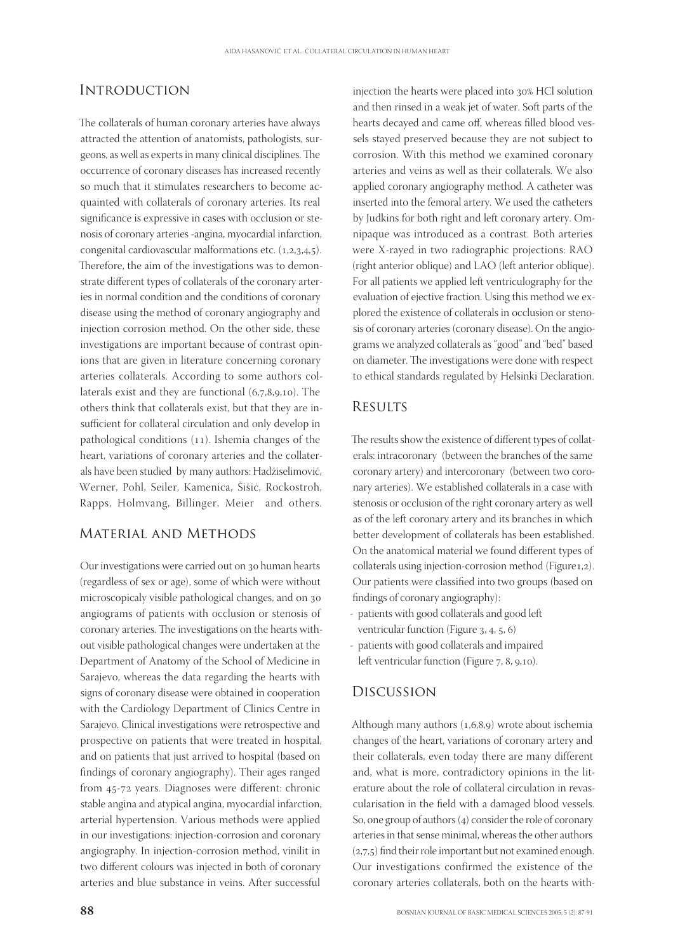#### **INTRODUCTION**

The collaterals of human coronary arteries have always attracted the attention of anatomists, pathologists, surgeons, as well as experts in many clinical disciplines. The occurrence of coronary diseases has increased recently so much that it stimulates researchers to become acquainted with collaterals of coronary arteries. Its real significance is expressive in cases with occlusion or stenosis of coronary arteries -angina, myocardial infarction, congenital cardiovascular malformations etc.  $(1,2,3,4,5)$ . Therefore, the aim of the investigations was to demonstrate different types of collaterals of the coronary arteries in normal condition and the conditions of coronary disease using the method of coronary angiography and injection corrosion method. On the other side, these investigations are important because of contrast opinions that are given in literature concerning coronary arteries collaterals. According to some authors collaterals exist and they are functional  $(6,7,8,9,10)$ . The others think that collaterals exist, but that they are insufficient for collateral circulation and only develop in pathological conditions  $(11)$ . Ishemia changes of the heart, variations of coronary arteries and the collaterals have been studied by many authors: Hadžiselimović, Werner, Pohl, Seiler, Kamenica, Šišić, Rockostroh, Rapps, Holmvang, Billinger, Meier and others.

#### Material and Methods

Our investigations were carried out on 30 human hearts (regardless of sex or age), some of which were without microscopicaly visible pathological changes, and on angiograms of patients with occlusion or stenosis of coronary arteries. The investigations on the hearts without visible pathological changes were undertaken at the Department of Anatomy of the School of Medicine in Sarajevo, whereas the data regarding the hearts with signs of coronary disease were obtained in cooperation with the Cardiology Department of Clinics Centre in Sarajevo. Clinical investigations were retrospective and prospective on patients that were treated in hospital, and on patients that just arrived to hospital (based on findings of coronary angiography). Their ages ranged from 45-72 years. Diagnoses were different: chronic stable angina and atypical angina, myocardial infarction, arterial hypertension. Various methods were applied in our investigations: injection-corrosion and coronary angiography. In injection-corrosion method, vinilit in two different colours was injected in both of coronary arteries and blue substance in veins. After successful

injection the hearts were placed into 30% HCl solution and then rinsed in a weak jet of water. Soft parts of the hearts decayed and came off, whereas filled blood vessels stayed preserved because they are not subject to corrosion. With this method we examined coronary arteries and veins as well as their collaterals. We also applied coronary angiography method. A catheter was inserted into the femoral artery. We used the catheters by Judkins for both right and left coronary artery. Omnipaque was introduced as a contrast. Both arteries were X-rayed in two radiographic projections: RAO (right anterior oblique) and LAO (left anterior oblique). For all patients we applied left ventriculography for the evaluation of ejective fraction. Using this method we explored the existence of collaterals in occlusion or stenosis of coronary arteries (coronary disease). On the angiograms we analyzed collaterals as "good" and "bed" based on diameter. The investigations were done with respect to ethical standards regulated by Helsinki Declaration.

# **RESULTS**

The results show the existence of different types of collaterals: intracoronary (between the branches of the same coronary artery) and intercoronary (between two coronary arteries). We established collaterals in a case with stenosis or occlusion of the right coronary artery as well as of the left coronary artery and its branches in which better development of collaterals has been established. On the anatomical material we found different types of collaterals using injection-corrosion method (Figure1,2). Our patients were classified into two groups (based on findings of coronary angiography):

- patients with good collaterals and good left ventricular function (Figure  $3, 4, 5, 6$ )
- patients with good collaterals and impaired left ventricular function (Figure  $7, 8, 9, 10$ ).

# Discussion

Although many authors  $(1,6,8,9)$  wrote about ischemia changes of the heart, variations of coronary artery and their collaterals, even today there are many different and, what is more, contradictory opinions in the literature about the role of collateral circulation in revascularisation in the field with a damaged blood vessels. So, one group of authors  $(4)$  consider the role of coronary arteries in that sense minimal, whereas the other authors  $(2,7,5)$  find their role important but not examined enough. Our investigations confirmed the existence of the coronary arteries collaterals, both on the hearts with-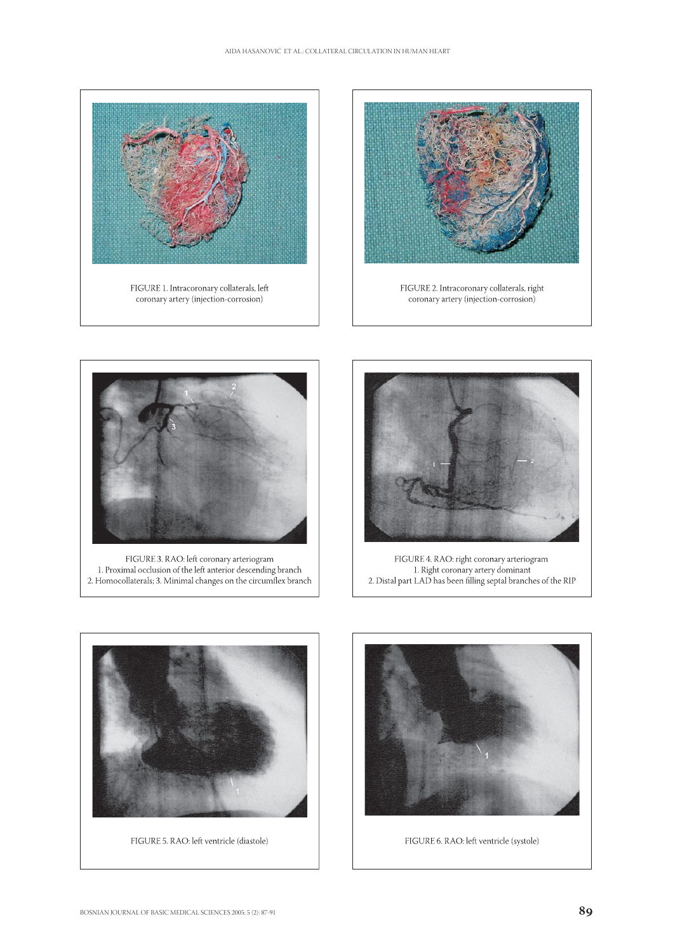





FIGURE 3. RAO: left coronary arteriogram<br>1. Proximal occlusion of the left anterior descending branch<br>2. Homocollaterals; 3. Minimal changes on the circumflex branch



FIGURE 4. RAO: right coronary arteriogram<br>1. Right coronary artery dominant<br>2. Distal part LAD has been filling septal branches of the RIP



FIGURE 5. RAO: left ventricle (diastole)



FIGURE 6. RAO: left ventricle (systole)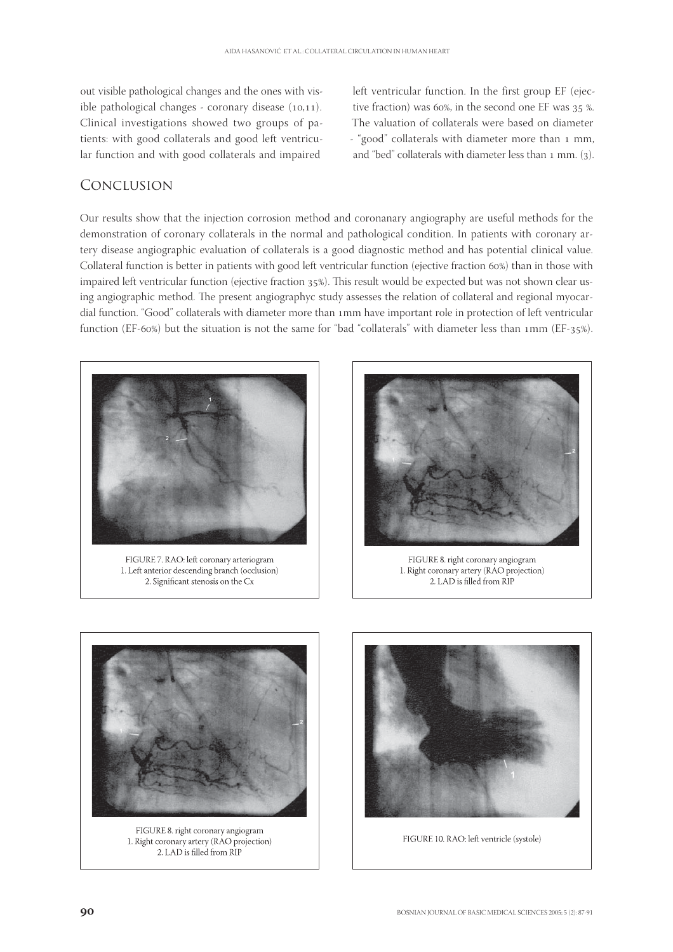out visible pathological changes and the ones with visible pathological changes - coronary disease  $(10,11)$ . Clinical investigations showed two groups of patients: with good collaterals and good left ventricular function and with good collaterals and impaired

left ventricular function. In the first group EF (ejective fraction) was  $60\%$ , in the second one EF was  $35\%$ . The valuation of collaterals were based on diameter - "good" collaterals with diameter more than 1 mm, and "bed" collaterals with diameter less than  $1$  mm. (3).

### Conclusion

Our results show that the injection corrosion method and coronanary angiography are useful methods for the demonstration of coronary collaterals in the normal and pathological condition. In patients with coronary artery disease angiographic evaluation of collaterals is a good diagnostic method and has potential clinical value. Collateral function is better in patients with good left ventricular function (ejective fraction 60%) than in those with impaired left ventricular function (ejective fraction 35%). This result would be expected but was not shown clear using angiographic method. The present angiographyc study assesses the relation of collateral and regional myocardial function. "Good" collaterals with diameter more than 1mm have important role in protection of left ventricular function (EF-60%) but the situation is not the same for "bad "collaterals" with diameter less than 1mm (EF-35%).



FIGURE 7. RAO: left coronary arteriogram 1. Left anterior descending branch (occlusion) 2. Significant stenosis on the Cx



FIGURE 8. right coronary angiogram 1. Right coronary artery (RAO projection) 2. LAD is filled from RIP



FIGURE 8. right coronary angiogram 1. Right coronary artery (RAO projection) 2. LAD is filled from RIP



FIGURE 10. RAO: left ventricle (systole)